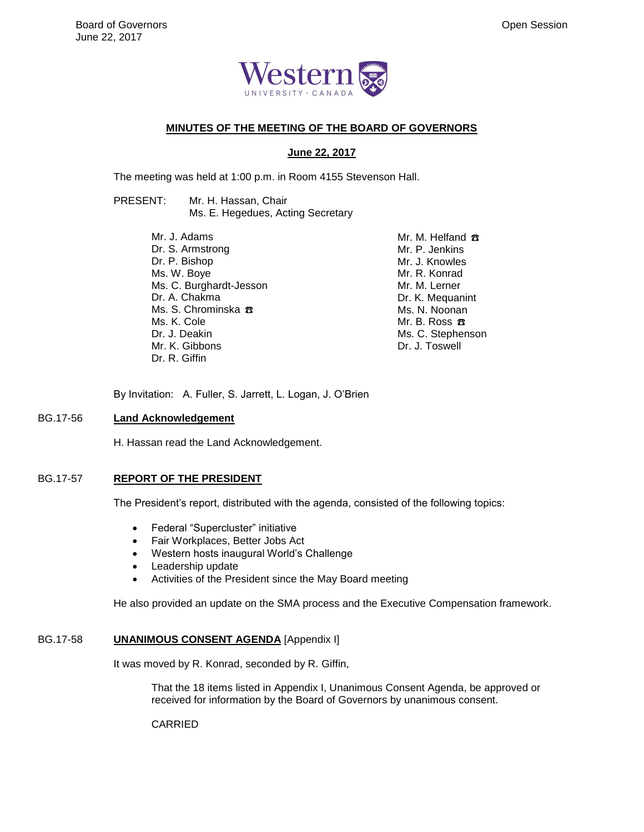

# **MINUTES OF THE MEETING OF THE BOARD OF GOVERNORS**

### **June 22, 2017**

The meeting was held at 1:00 p.m. in Room 4155 Stevenson Hall.

# PRESENT: Mr. H. Hassan, Chair Ms. E. Hegedues, Acting Secretary

Mr. J. Adams Dr. S. Armstrong Dr. P. Bishop Ms. W. Boye Ms. C. Burghardt-Jesson Dr. A. Chakma Ms. S. Chrominska <del>B</del> Ms. K. Cole Dr. J. Deakin Mr. K. Gibbons Dr. R. Giffin

Mr. M. Helfand <del>B</del> Mr. P. Jenkins Mr. J. Knowles Mr. R. Konrad Mr. M. Lerner Dr. K. Mequanint Ms. N. Noonan Mr. B. Ross  $\pi$ Ms. C. Stephenson Dr. J. Toswell

By Invitation: A. Fuller, S. Jarrett, L. Logan, J. O'Brien

### BG.17-56 **Land Acknowledgement**

H. Hassan read the Land Acknowledgement.

#### BG.17-57 **REPORT OF THE PRESIDENT**

The President's report, distributed with the agenda, consisted of the following topics:

- Federal "Supercluster" initiative
- Fair Workplaces, Better Jobs Act
- Western hosts inaugural World's Challenge
- Leadership update
- Activities of the President since the May Board meeting

He also provided an update on the SMA process and the Executive Compensation framework.

#### BG.17-58 **UNANIMOUS CONSENT AGENDA** [Appendix I]

It was moved by R. Konrad, seconded by R. Giffin,

That the 18 items listed in Appendix I, Unanimous Consent Agenda, be approved or received for information by the Board of Governors by unanimous consent.

CARRIED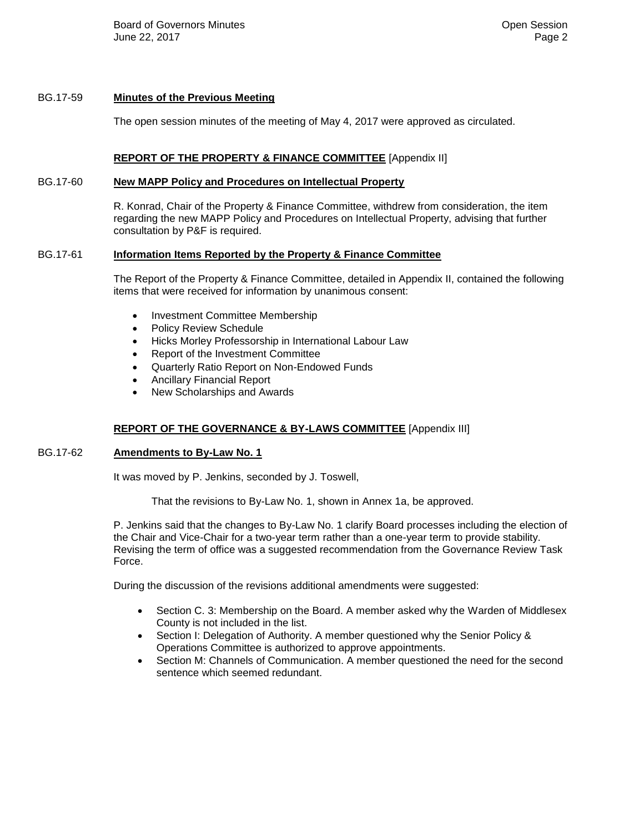Board of Governors Minutes **Community** Community Community Community Community Community Community Community Community Community Community Community Community Community Community Community Community Community Community Com June 22, 2017 Page 2

### BG.17-59 **Minutes of the Previous Meeting**

The open session minutes of the meeting of May 4, 2017 were approved as circulated.

### **REPORT OF THE PROPERTY & FINANCE COMMITTEE** [Appendix II]

#### BG.17-60 **New MAPP Policy and Procedures on Intellectual Property**

R. Konrad, Chair of the Property & Finance Committee, withdrew from consideration, the item regarding the new MAPP Policy and Procedures on Intellectual Property, advising that further consultation by P&F is required.

# BG.17-61 **Information Items Reported by the Property & Finance Committee**

The Report of the Property & Finance Committee, detailed in Appendix II, contained the following items that were received for information by unanimous consent:

- Investment Committee Membership
- Policy Review Schedule
- Hicks Morley Professorship in International Labour Law
- Report of the Investment Committee
- Quarterly Ratio Report on Non-Endowed Funds
- Ancillary Financial Report
- New Scholarships and Awards

### **REPORT OF THE GOVERNANCE & BY-LAWS COMMITTEE** [Appendix III]

#### BG.17-62 **Amendments to By-Law No. 1**

It was moved by P. Jenkins, seconded by J. Toswell,

That the revisions to By-Law No. 1, shown in Annex 1a, be approved.

P. Jenkins said that the changes to By-Law No. 1 clarify Board processes including the election of the Chair and Vice-Chair for a two-year term rather than a one-year term to provide stability. Revising the term of office was a suggested recommendation from the Governance Review Task Force.

During the discussion of the revisions additional amendments were suggested:

- Section C. 3: Membership on the Board. A member asked why the Warden of Middlesex County is not included in the list.
- Section I: Delegation of Authority. A member questioned why the Senior Policy & Operations Committee is authorized to approve appointments.
- Section M: Channels of Communication. A member questioned the need for the second sentence which seemed redundant.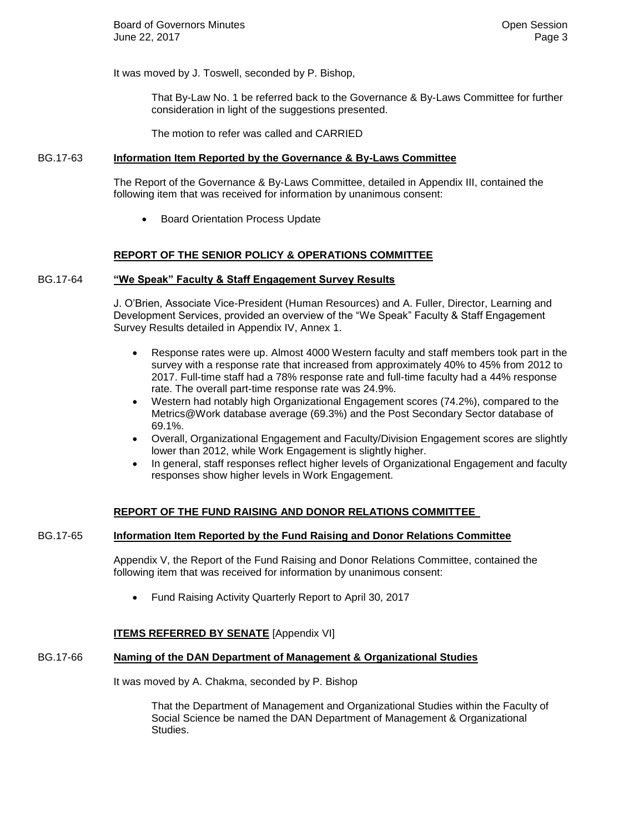It was moved by J. Toswell, seconded by P. Bishop,

That By-Law No. 1 be referred back to the Governance & By-Laws Committee for further consideration in light of the suggestions presented.

The motion to refer was called and CARRIED

#### BG.17-63 **Information Item Reported by the Governance & By-Laws Committee**

The Report of the Governance & By-Laws Committee, detailed in Appendix III, contained the following item that was received for information by unanimous consent:

**•** Board Orientation Process Update

### **REPORT OF THE SENIOR POLICY & OPERATIONS COMMITTEE**

#### BG.17-64 **"We Speak" Faculty & Staff Engagement Survey Results**

J. O'Brien, Associate Vice-President (Human Resources) and A. Fuller, Director, Learning and Development Services, provided an overview of the "We Speak" Faculty & Staff Engagement Survey Results detailed in Appendix IV, Annex 1.

- Response rates were up. Almost 4000 Western faculty and staff members took part in the survey with a response rate that increased from approximately 40% to 45% from 2012 to 2017. Full-time staff had a 78% response rate and full-time faculty had a 44% response rate. The overall part-time response rate was 24.9%.
- Western had notably high Organizational Engagement scores (74.2%), compared to the Metrics@Work database average (69.3%) and the Post Secondary Sector database of 69.1%.
- Overall, Organizational Engagement and Faculty/Division Engagement scores are slightly lower than 2012, while Work Engagement is slightly higher.
- In general, staff responses reflect higher levels of Organizational Engagement and faculty responses show higher levels in Work Engagement.

### **REPORT OF THE FUND RAISING AND DONOR RELATIONS COMMITTEE**

#### BG.17-65 **Information Item Reported by the Fund Raising and Donor Relations Committee**

Appendix V, the Report of the Fund Raising and Donor Relations Committee, contained the following item that was received for information by unanimous consent:

Fund Raising Activity Quarterly Report to April 30, 2017

#### **ITEMS REFERRED BY SENATE** [Appendix VI]

# BG.17-66 **Naming of the DAN Department of Management & Organizational Studies**

It was moved by A. Chakma, seconded by P. Bishop

That the Department of Management and Organizational Studies within the Faculty of Social Science be named the DAN Department of Management & Organizational Studies.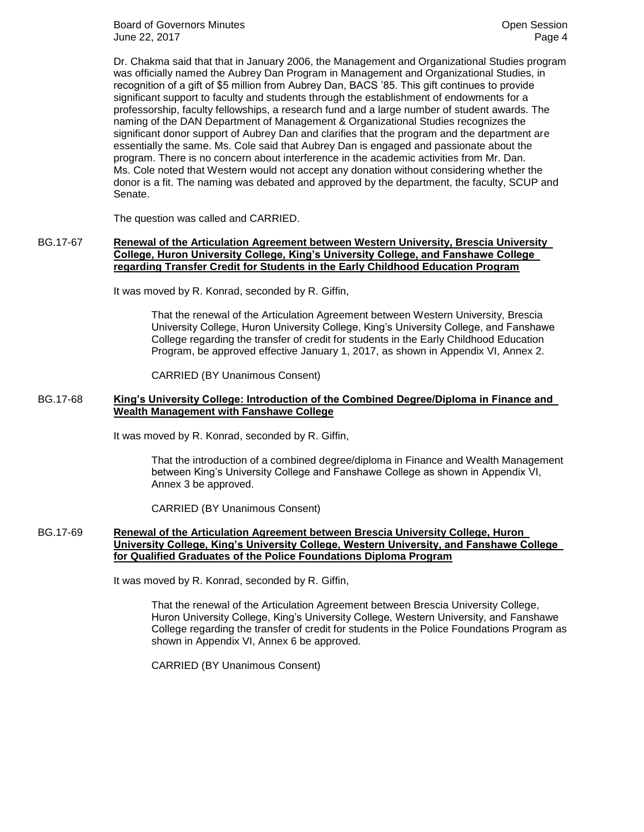Board of Governors Minutes **Community** Community Community Community Community Community Community Community Community Community Community Community Community Community Community Community Community Community Community Com June 22, 2017 Page 4

Dr. Chakma said that that in January 2006, the Management and Organizational Studies program was officially named the Aubrey Dan Program in Management and Organizational Studies, in recognition of a gift of \$5 million from Aubrey Dan, BACS '85. This gift continues to provide significant support to faculty and students through the establishment of endowments for a professorship, faculty fellowships, a research fund and a large number of student awards. The naming of the DAN Department of Management & Organizational Studies recognizes the significant donor support of Aubrey Dan and clarifies that the program and the department are essentially the same. Ms. Cole said that Aubrey Dan is engaged and passionate about the program. There is no concern about interference in the academic activities from Mr. Dan. Ms. Cole noted that Western would not accept any donation without considering whether the donor is a fit. The naming was debated and approved by the department, the faculty, SCUP and Senate.

The question was called and CARRIED.

# BG.17-67 **Renewal of the Articulation Agreement between Western University, Brescia University College, Huron University College, King's University College, and Fanshawe College regarding Transfer Credit for Students in the Early Childhood Education Program**

It was moved by R. Konrad, seconded by R. Giffin,

That the renewal of the Articulation Agreement between Western University, Brescia University College, Huron University College, King's University College, and Fanshawe College regarding the transfer of credit for students in the Early Childhood Education Program, be approved effective January 1, 2017, as shown in Appendix VI, Annex 2.

CARRIED (BY Unanimous Consent)

#### BG.17-68 **King's University College: Introduction of the Combined Degree/Diploma in Finance and Wealth Management with Fanshawe College**

It was moved by R. Konrad, seconded by R. Giffin,

That the introduction of a combined degree/diploma in Finance and Wealth Management between King's University College and Fanshawe College as shown in Appendix VI, Annex 3 be approved.

CARRIED (BY Unanimous Consent)

# BG.17-69 **Renewal of the Articulation Agreement between Brescia University College, Huron University College, King's University College, Western University, and Fanshawe College for Qualified Graduates of the Police Foundations Diploma Program**

It was moved by R. Konrad, seconded by R. Giffin,

That the renewal of the Articulation Agreement between Brescia University College, Huron University College, King's University College, Western University, and Fanshawe College regarding the transfer of credit for students in the Police Foundations Program as shown in Appendix VI, Annex 6 be approved.

CARRIED (BY Unanimous Consent)